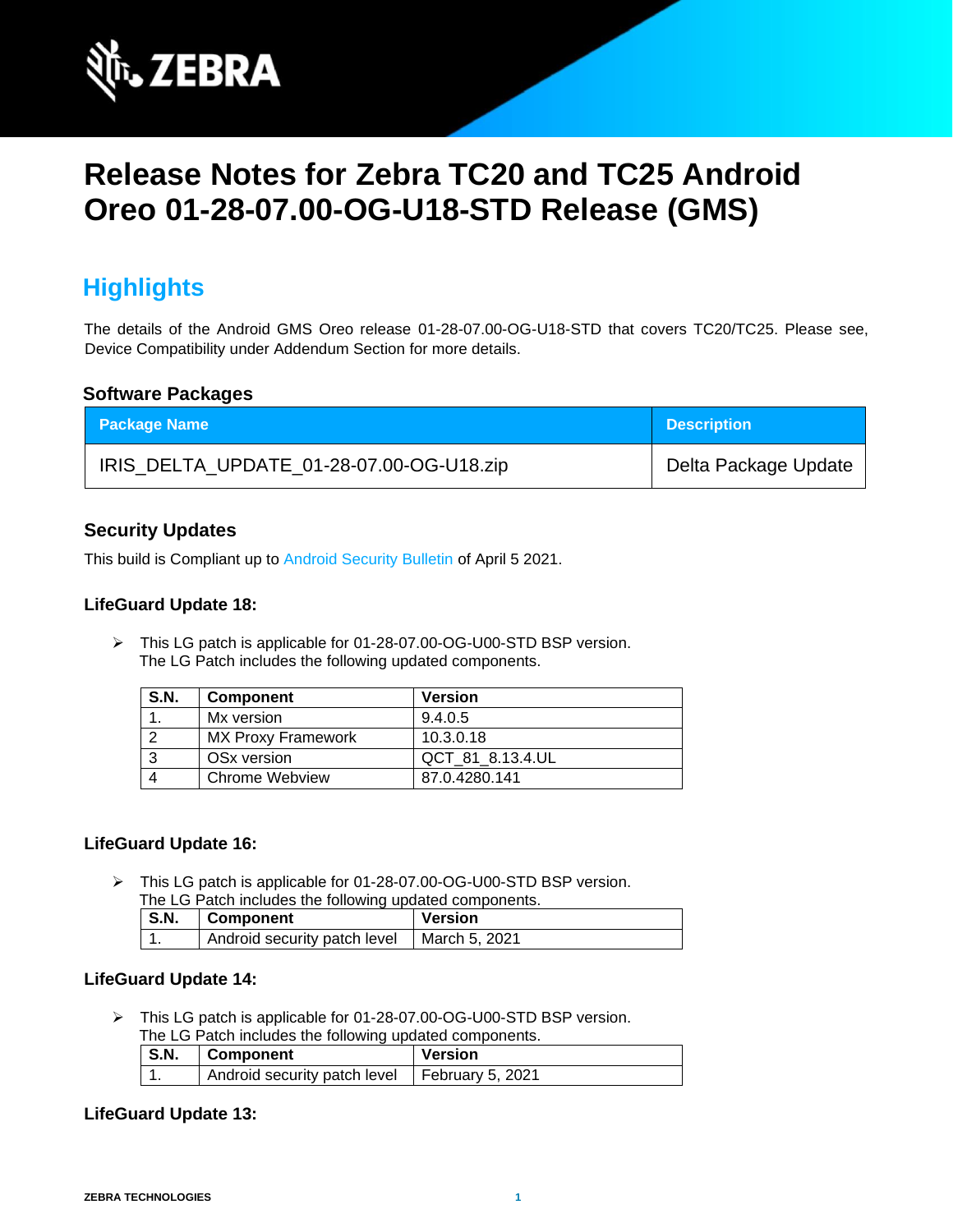

# **Release Notes for Zebra TC20 and TC25 Android Oreo 01-28-07.00-OG-U18-STD Release (GMS)**

## **Highlights**

The details of the Android GMS Oreo release 01-28-07.00-OG-U18-STD that covers TC20/TC25. Please see, Device Compatibility under Addendum Section for more details.

### **Software Packages**

| <b>Package Name</b>                      | <b>Description</b>   |
|------------------------------------------|----------------------|
| IRIS_DELTA_UPDATE_01-28-07.00-OG-U18.zip | Delta Package Update |

### **Security Updates**

This build is Compliant up to [Android Security Bulletin](https://source.android.com/security/bulletin/) of April 5 2021.

#### **LifeGuard Update 18:**

➢ This LG patch is applicable for 01-28-07.00-OG-U00-STD BSP version. The LG Patch includes the following updated components.

| S.N. | <b>Component</b>          | <b>Version</b>   |
|------|---------------------------|------------------|
|      | Mx version                | 9.4.0.5          |
|      | <b>MX Proxy Framework</b> | 10.3.0.18        |
|      | OSx version               | QCT 81 8.13.4.UL |
|      | Chrome Webview            | 87.0.4280.141    |

### **LifeGuard Update 16:**

➢ This LG patch is applicable for 01-28-07.00-OG-U00-STD BSP version. The LG Patch includes the following updated components.

| The LOT alon included the following apaalog componente. |                                              |         |
|---------------------------------------------------------|----------------------------------------------|---------|
| S.N.                                                    | Component                                    | Version |
|                                                         | Android security patch level   March 5, 2021 |         |

#### **LifeGuard Update 14:**

➢ This LG patch is applicable for 01-28-07.00-OG-U00-STD BSP version. The LG Patch includes the following updated components.

| $\blacksquare$ S.N. | Component                                       | <b>Version</b> |
|---------------------|-------------------------------------------------|----------------|
|                     | Android security patch level   February 5, 2021 |                |

#### **LifeGuard Update 13:**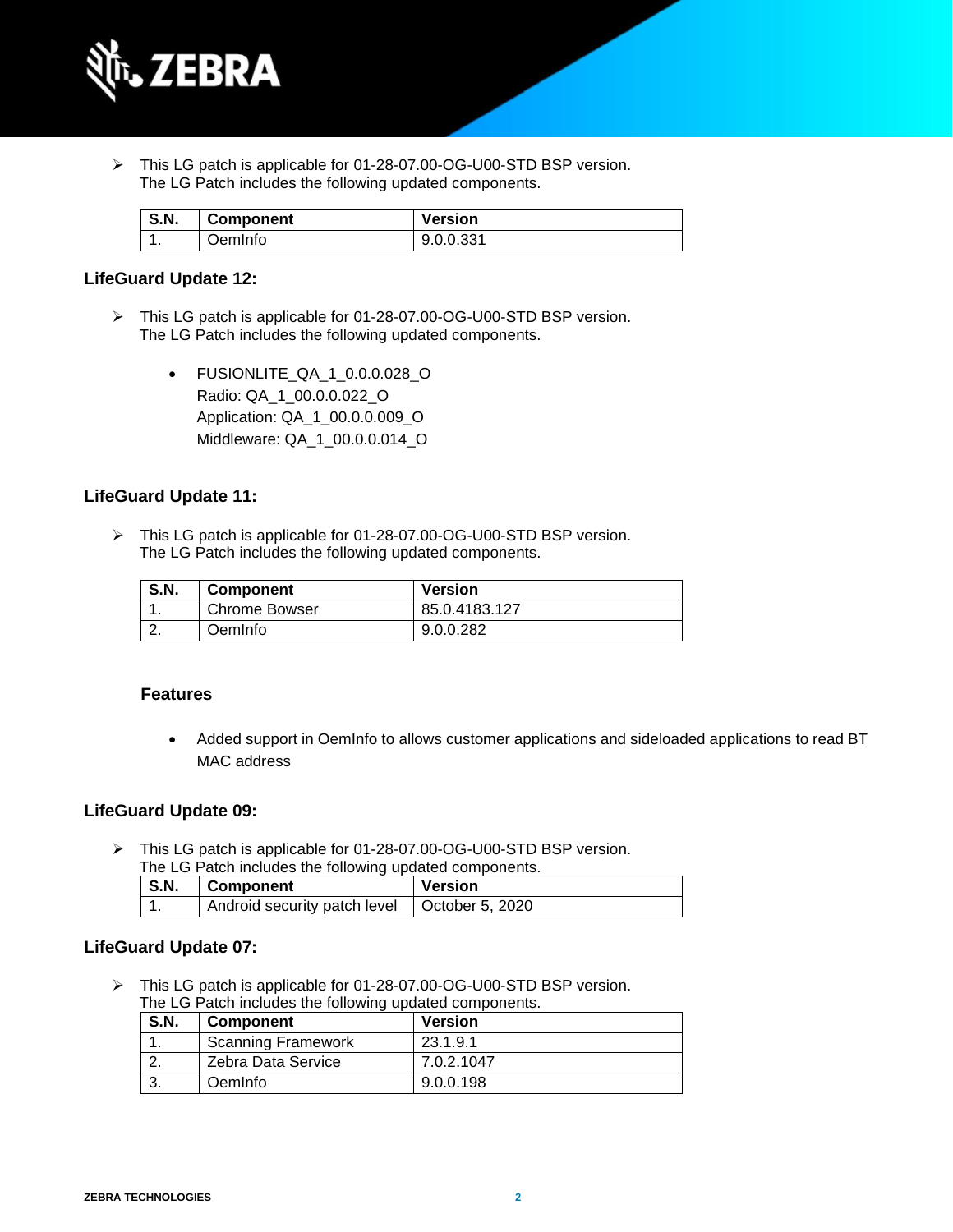

➢ This LG patch is applicable for 01-28-07.00-OG-U00-STD BSP version. The LG Patch includes the following updated components.

| <b>S.N.</b> | <b>Component</b> | <b>Version</b> |
|-------------|------------------|----------------|
| . .         | OemInfo          | 9.0.0.331      |

#### **LifeGuard Update 12:**

- ➢ This LG patch is applicable for 01-28-07.00-OG-U00-STD BSP version. The LG Patch includes the following updated components.
	- FUSIONLITE\_QA\_1\_0.0.0.028\_O Radio: QA\_1\_00.0.0.022\_O Application: QA\_1\_00.0.0.009\_O Middleware: QA\_1\_00.0.0.014\_O

#### **LifeGuard Update 11:**

➢ This LG patch is applicable for 01-28-07.00-OG-U00-STD BSP version. The LG Patch includes the following updated components.

| <b>S.N.</b> | <b>Component</b>     | <b>Version</b> |
|-------------|----------------------|----------------|
|             | <b>Chrome Bowser</b> | 85.0.4183.127  |
|             | OemInfo              | 9.0.0.282      |

#### **Features**

• Added support in OemInfo to allows customer applications and sideloaded applications to read BT MAC address

#### **LifeGuard Update 09:**

➢ This LG patch is applicable for 01-28-07.00-OG-U00-STD BSP version.

| The LG Patch includes the following updated components. |  |  |  |
|---------------------------------------------------------|--|--|--|
| $S.\overline{N}$ .<br><b>Version</b><br>  Component     |  |  |  |
| Android security patch level   October 5, 2020          |  |  |  |

#### **LifeGuard Update 07:**

➢ This LG patch is applicable for 01-28-07.00-OG-U00-STD BSP version. The LG Patch includes the following updated components.

| <b>S.N.</b> | <b>Component</b>          | <b>Version</b> |
|-------------|---------------------------|----------------|
|             | <b>Scanning Framework</b> | 23.1.9.1       |
|             | Zebra Data Service        | 7.0.2.1047     |
|             | OemInfo                   | 9.0.0.198      |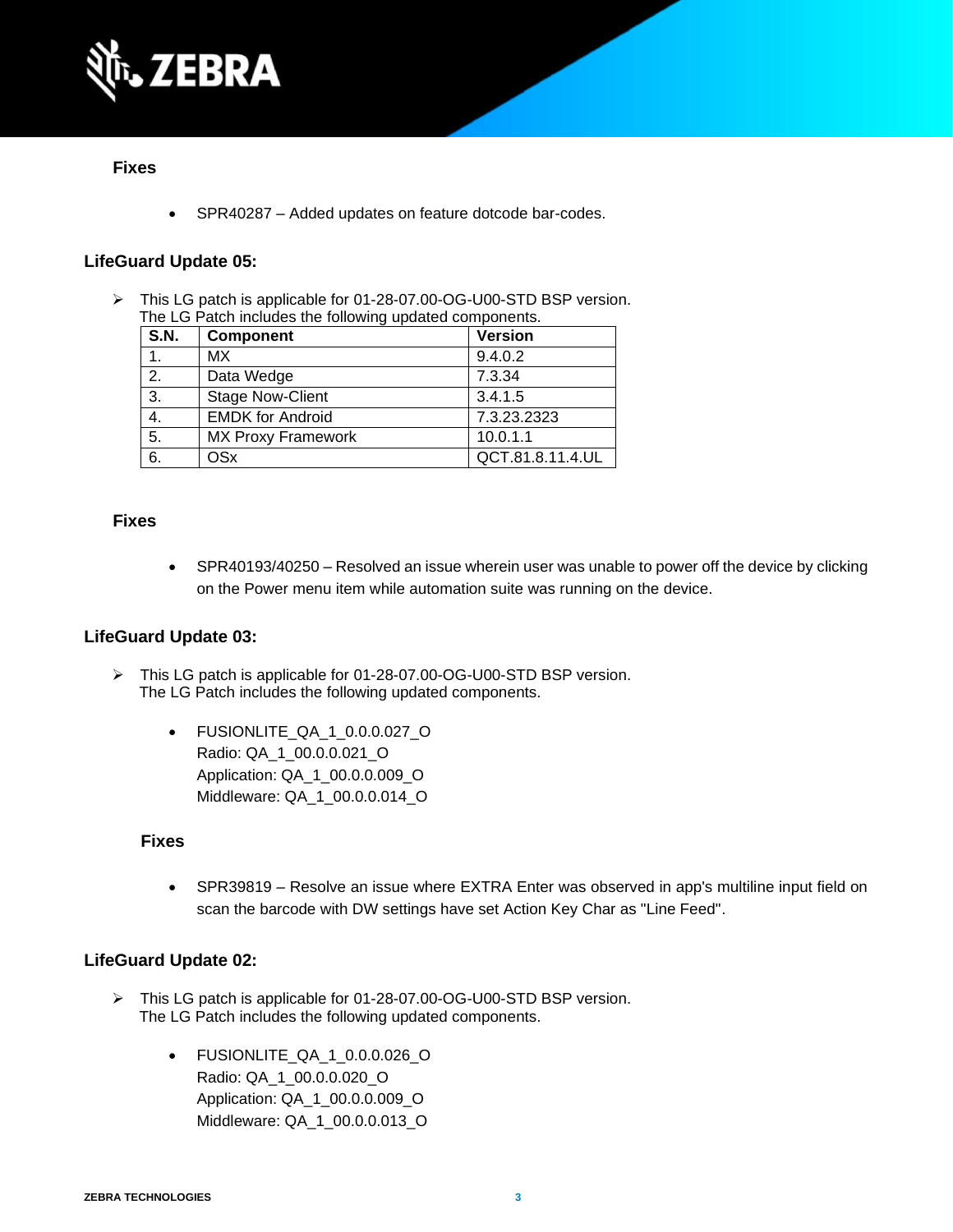

#### **Fixes**

• SPR40287 – Added updates on feature dotcode bar-codes.

#### **LifeGuard Update 05:**

➢ This LG patch is applicable for 01-28-07.00-OG-U00-STD BSP version. The LG Patch includes the following updated components.

| S.N. | <b>Component</b>          | <b>Version</b>   |
|------|---------------------------|------------------|
| 1.   | МX                        | 9.4.0.2          |
| 2.   | Data Wedge                | 7.3.34           |
| 3.   | <b>Stage Now-Client</b>   | 3.4.1.5          |
| 4.   | <b>EMDK for Android</b>   | 7.3.23.2323      |
| 5.   | <b>MX Proxy Framework</b> | 10.0.1.1         |
| 6.   | OSx                       | QCT.81.8.11.4.UL |

#### **Fixes**

• SPR40193/40250 – Resolved an issue wherein user was unable to power off the device by clicking on the Power menu item while automation suite was running on the device.

#### **LifeGuard Update 03:**

- ➢ This LG patch is applicable for 01-28-07.00-OG-U00-STD BSP version. The LG Patch includes the following updated components.
	- FUSIONLITE\_QA\_1\_0.0.0.027\_O Radio: QA\_1\_00.0.0.021\_O Application: QA\_1\_00.0.0.009\_O Middleware: QA\_1\_00.0.0.014\_O

#### **Fixes**

• SPR39819 – Resolve an issue where EXTRA Enter was observed in app's multiline input field on scan the barcode with DW settings have set Action Key Char as "Line Feed".

#### **LifeGuard Update 02:**

- ➢ This LG patch is applicable for 01-28-07.00-OG-U00-STD BSP version. The LG Patch includes the following updated components.
	- FUSIONLITE\_QA\_1\_0.0.0.026\_O Radio: QA\_1\_00.0.0.020\_O Application: QA\_1\_00.0.0.009\_O Middleware: QA\_1\_00.0.0.013\_O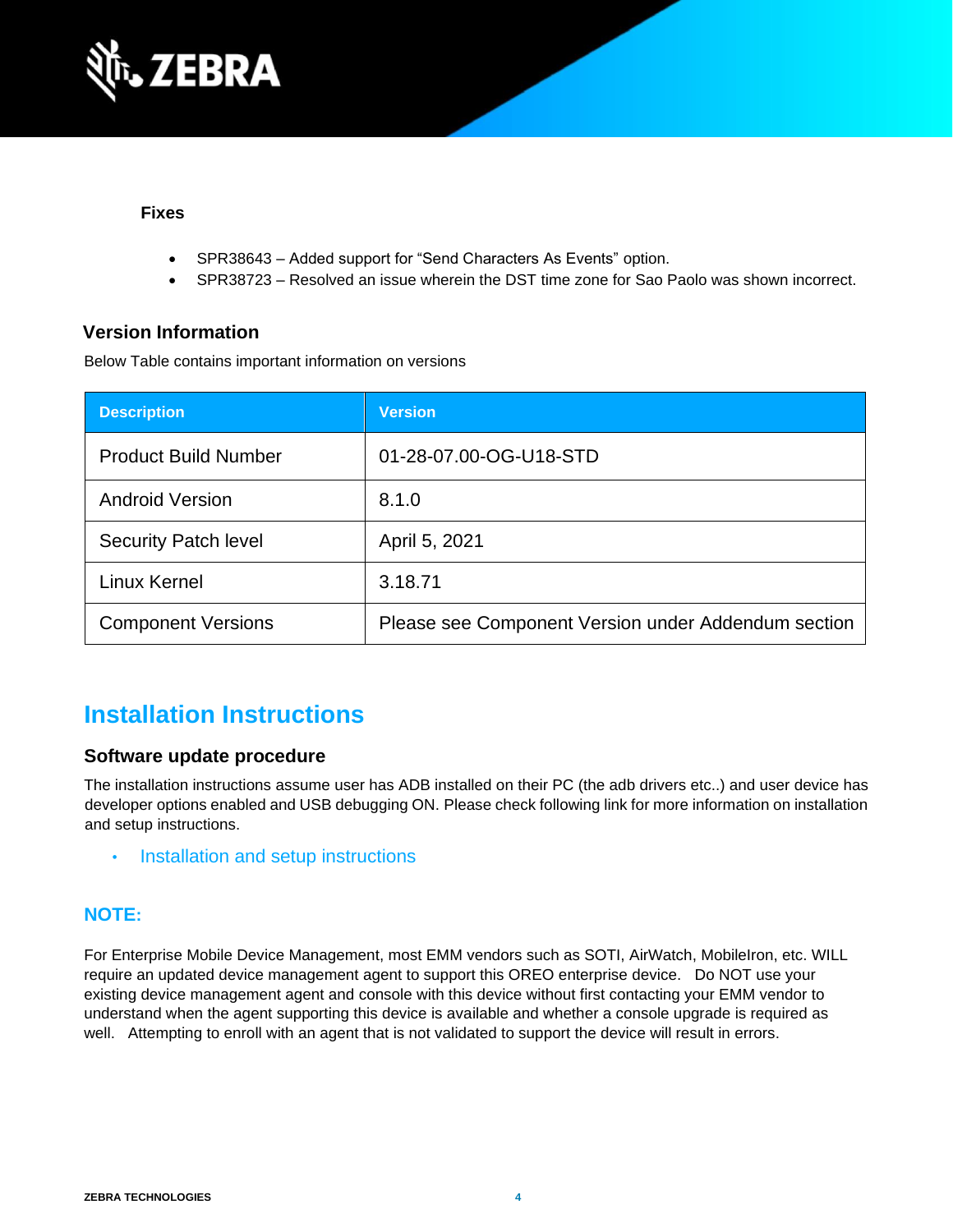

#### **Fixes**

- SPR38643 Added support for "Send Characters As Events" option.
- SPR38723 Resolved an issue wherein the DST time zone for Sao Paolo was shown incorrect.

### **Version Information**

Below Table contains important information on versions

| <b>Description</b>          | <b>Version</b>                                      |
|-----------------------------|-----------------------------------------------------|
| <b>Product Build Number</b> | 01-28-07.00-OG-U18-STD                              |
| <b>Android Version</b>      | 8.1.0                                               |
| <b>Security Patch level</b> | April 5, 2021                                       |
| Linux Kernel                | 3.18.71                                             |
| <b>Component Versions</b>   | Please see Component Version under Addendum section |

## **Installation Instructions**

### **Software update procedure**

The installation instructions assume user has ADB installed on their PC (the adb drivers etc..) and user device has developer options enabled and USB debugging ON. Please check following link for more information on installation and setup instructions.

• [Installation and setup instructions](https://www.zebra.com/content/dam/zebra_new_ia/en-us/software/operating-system/tc20-operating-system/Android-O-OS-Update-TC20-and-TC25-GMS.pdf)

### **NOTE:**

For Enterprise Mobile Device Management, most EMM vendors such as SOTI, AirWatch, MobileIron, etc. WILL require an updated device management agent to support this OREO enterprise device. Do NOT use your existing device management agent and console with this device without first contacting your EMM vendor to understand when the agent supporting this device is available and whether a console upgrade is required as well. Attempting to enroll with an agent that is not validated to support the device will result in errors.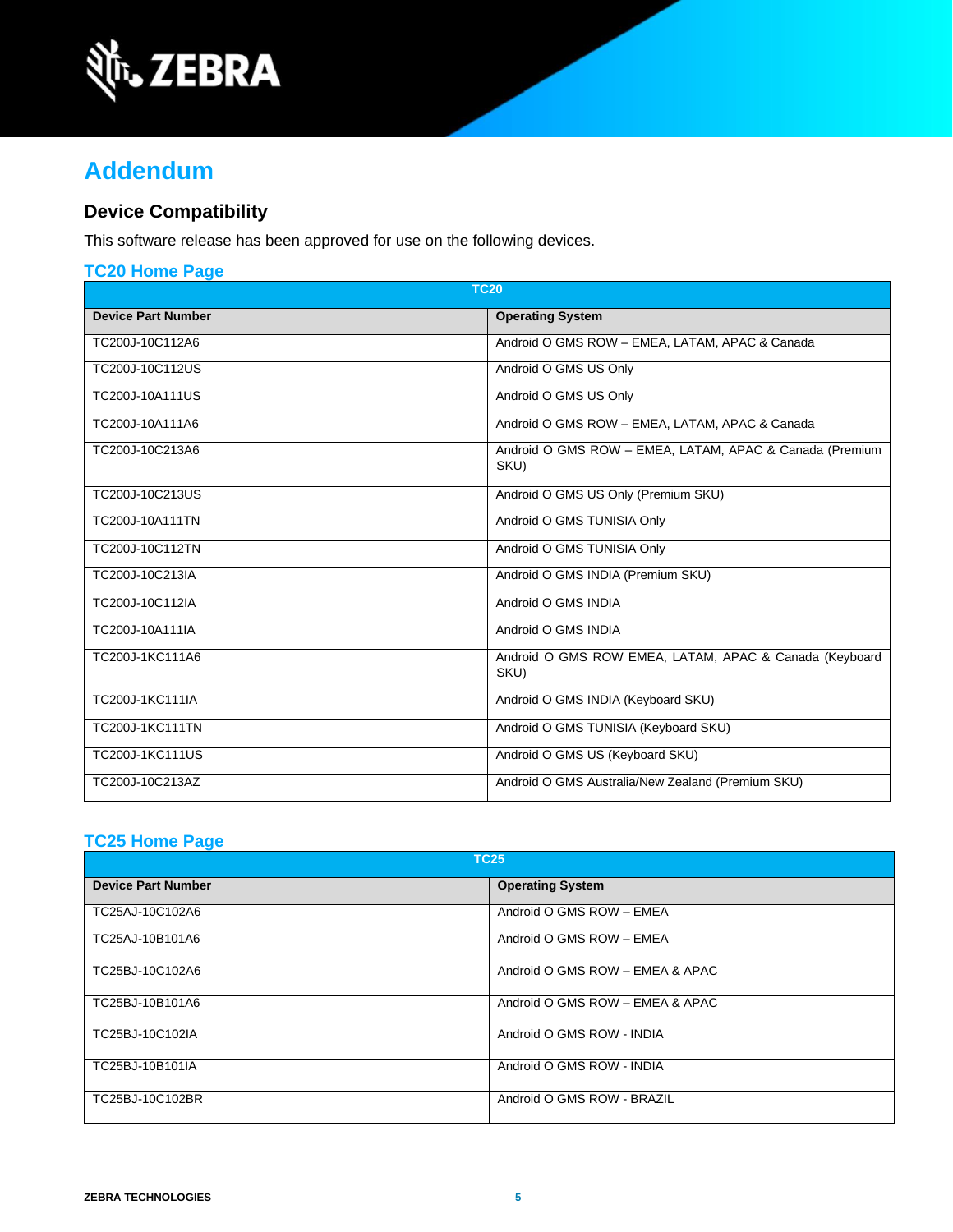

## **Addendum**

## **Device Compatibility**

This software release has been approved for use on the following devices.

| <b>TC20 Home Page</b>     |                                                                 |  |
|---------------------------|-----------------------------------------------------------------|--|
| <b>TC20</b>               |                                                                 |  |
| <b>Device Part Number</b> | <b>Operating System</b>                                         |  |
| TC200J-10C112A6           | Android O GMS ROW - EMEA, LATAM, APAC & Canada                  |  |
| TC200J-10C112US           | Android O GMS US Only                                           |  |
| TC200J-10A111US           | Android O GMS US Only                                           |  |
| TC200J-10A111A6           | Android O GMS ROW - EMEA, LATAM, APAC & Canada                  |  |
| TC200J-10C213A6           | Android O GMS ROW - EMEA, LATAM, APAC & Canada (Premium<br>SKU) |  |
| TC200J-10C213US           | Android O GMS US Only (Premium SKU)                             |  |
| TC200J-10A111TN           | Android O GMS TUNISIA Only                                      |  |
| TC200J-10C112TN           | Android O GMS TUNISIA Only                                      |  |
| TC200J-10C213IA           | Android O GMS INDIA (Premium SKU)                               |  |
| TC200J-10C112IA           | Android O GMS INDIA                                             |  |
| TC200J-10A111IA           | Android O GMS INDIA                                             |  |
| TC200J-1KC111A6           | Android O GMS ROW EMEA, LATAM, APAC & Canada (Keyboard<br>SKU)  |  |
| TC200J-1KC111IA           | Android O GMS INDIA (Keyboard SKU)                              |  |
| TC200J-1KC111TN           | Android O GMS TUNISIA (Keyboard SKU)                            |  |
| TC200J-1KC111US           | Android O GMS US (Keyboard SKU)                                 |  |
| TC200J-10C213AZ           | Android O GMS Australia/New Zealand (Premium SKU)               |  |

## **[TC25 Home Page](https://www.zebra.com/us/en/support-downloads/software/operating-system/tc25-operating-system.html)**

| <b>TC25</b>               |                                 |
|---------------------------|---------------------------------|
| <b>Device Part Number</b> | <b>Operating System</b>         |
| TC25AJ-10C102A6           | Android O GMS ROW - EMEA        |
| TC25AJ-10B101A6           | Android O GMS ROW - EMEA        |
| TC25BJ-10C102A6           | Android O GMS ROW - EMEA & APAC |
| TC25BJ-10B101A6           | Android O GMS ROW - EMEA & APAC |
| TC25BJ-10C102IA           | Android O GMS ROW - INDIA       |
| TC25BJ-10B101IA           | Android O GMS ROW - INDIA       |
| TC25BJ-10C102BR           | Android O GMS ROW - BRAZIL      |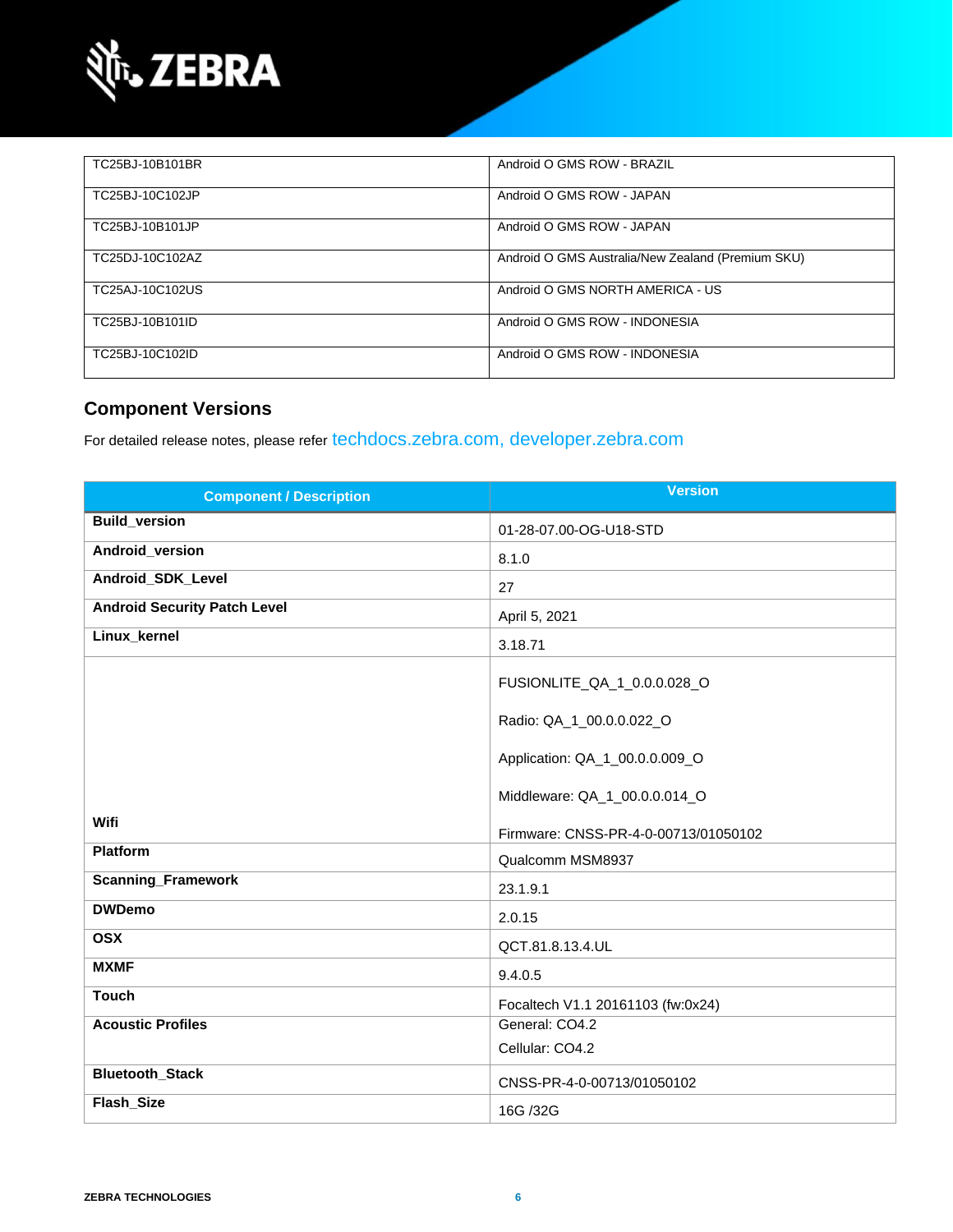

| TC25BJ-10B101BR | Android O GMS ROW - BRAZIL                        |
|-----------------|---------------------------------------------------|
| TC25BJ-10C102JP | Android O GMS ROW - JAPAN                         |
| TC25BJ-10B101JP | Android O GMS ROW - JAPAN                         |
| TC25DJ-10C102AZ | Android O GMS Australia/New Zealand (Premium SKU) |
| TC25AJ-10C102US | Android O GMS NORTH AMERICA - US                  |
| TC25BJ-10B101ID | Android O GMS ROW - INDONESIA                     |
| TC25BJ-10C102ID | Android O GMS ROW - INDONESIA                     |

## **Component Versions**

For detailed release notes, please refer [techdocs.zebra.com,](https://techdocs.zebra.com/) [developer.zebra.com](https://developer.zebra.com/)

| <b>Component / Description</b>      | <b>Version</b>                       |
|-------------------------------------|--------------------------------------|
| <b>Build_version</b>                | 01-28-07.00-OG-U18-STD               |
| Android_version                     | 8.1.0                                |
| Android_SDK_Level                   | 27                                   |
| <b>Android Security Patch Level</b> | April 5, 2021                        |
| Linux_kernel                        | 3.18.71                              |
|                                     | FUSIONLITE_QA_1_0.0.0.028_O          |
|                                     | Radio: QA_1_00.0.0.022_O             |
|                                     | Application: QA_1_00.0.0.009_O       |
|                                     | Middleware: QA_1_00.0.0.014_O        |
| Wifi                                | Firmware: CNSS-PR-4-0-00713/01050102 |
| <b>Platform</b>                     | Qualcomm MSM8937                     |
| <b>Scanning_Framework</b>           | 23.1.9.1                             |
| <b>DWDemo</b>                       | 2.0.15                               |
| <b>OSX</b>                          | QCT.81.8.13.4.UL                     |
| <b>MXMF</b>                         | 9.4.0.5                              |
| <b>Touch</b>                        | Focaltech V1.1 20161103 (fw:0x24)    |
| <b>Acoustic Profiles</b>            | General: CO4.2                       |
|                                     | Cellular: CO4.2                      |
| <b>Bluetooth_Stack</b>              | CNSS-PR-4-0-00713/01050102           |
| Flash_Size                          | 16G /32G                             |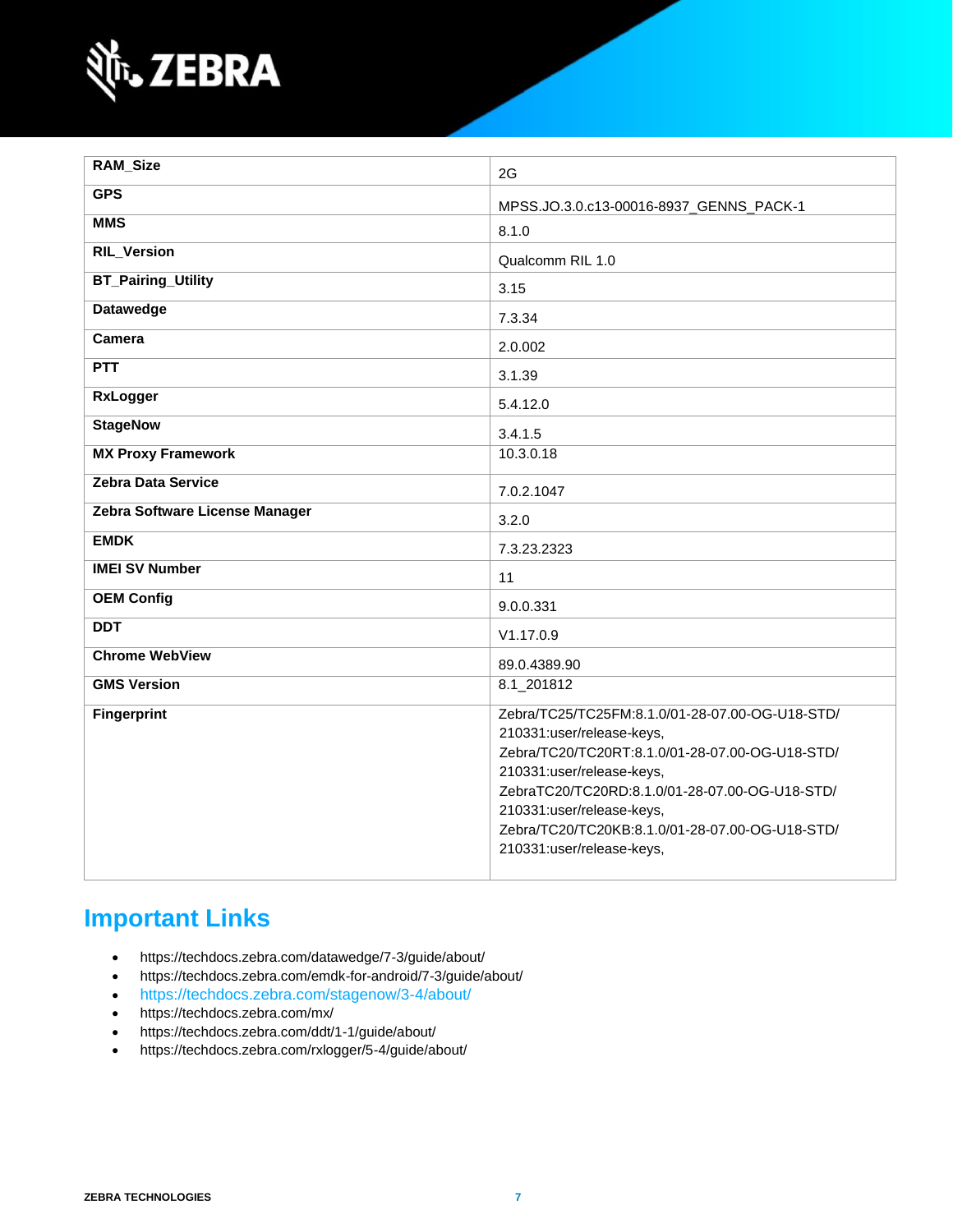

| <b>RAM_Size</b>                | 2G                                                                                                                                                                                                                                                                                                                          |
|--------------------------------|-----------------------------------------------------------------------------------------------------------------------------------------------------------------------------------------------------------------------------------------------------------------------------------------------------------------------------|
| <b>GPS</b>                     | MPSS.JO.3.0.c13-00016-8937_GENNS_PACK-1                                                                                                                                                                                                                                                                                     |
| <b>MMS</b>                     | 8.1.0                                                                                                                                                                                                                                                                                                                       |
| <b>RIL_Version</b>             | Qualcomm RIL 1.0                                                                                                                                                                                                                                                                                                            |
| <b>BT_Pairing_Utility</b>      | 3.15                                                                                                                                                                                                                                                                                                                        |
| <b>Datawedge</b>               | 7.3.34                                                                                                                                                                                                                                                                                                                      |
| Camera                         | 2.0.002                                                                                                                                                                                                                                                                                                                     |
| <b>PTT</b>                     | 3.1.39                                                                                                                                                                                                                                                                                                                      |
| <b>RxLogger</b>                | 5.4.12.0                                                                                                                                                                                                                                                                                                                    |
| <b>StageNow</b>                | 3.4.1.5                                                                                                                                                                                                                                                                                                                     |
| <b>MX Proxy Framework</b>      | 10.3.0.18                                                                                                                                                                                                                                                                                                                   |
| <b>Zebra Data Service</b>      | 7.0.2.1047                                                                                                                                                                                                                                                                                                                  |
| Zebra Software License Manager | 3.2.0                                                                                                                                                                                                                                                                                                                       |
| <b>EMDK</b>                    | 7.3.23.2323                                                                                                                                                                                                                                                                                                                 |
| <b>IMEI SV Number</b>          | 11                                                                                                                                                                                                                                                                                                                          |
| <b>OEM Config</b>              | 9.0.0.331                                                                                                                                                                                                                                                                                                                   |
| <b>DDT</b>                     | V1.17.0.9                                                                                                                                                                                                                                                                                                                   |
| <b>Chrome WebView</b>          | 89.0.4389.90                                                                                                                                                                                                                                                                                                                |
| <b>GMS Version</b>             | 8.1_201812                                                                                                                                                                                                                                                                                                                  |
| <b>Fingerprint</b>             | Zebra/TC25/TC25FM:8.1.0/01-28-07.00-OG-U18-STD/<br>210331:user/release-keys,<br>Zebra/TC20/TC20RT:8.1.0/01-28-07.00-OG-U18-STD/<br>210331:user/release-keys,<br>ZebraTC20/TC20RD:8.1.0/01-28-07.00-OG-U18-STD/<br>210331:user/release-keys,<br>Zebra/TC20/TC20KB:8.1.0/01-28-07.00-OG-U18-STD/<br>210331:user/release-keys, |

## **Important Links**

- <https://techdocs.zebra.com/datawedge/7-3/guide/about/>
- <https://techdocs.zebra.com/emdk-for-android/7-3/guide/about/>
- <https://techdocs.zebra.com/stagenow/3-4/about/>
- <https://techdocs.zebra.com/mx/>
- <https://techdocs.zebra.com/ddt/1-1/guide/about/>
- <https://techdocs.zebra.com/rxlogger/5-4/guide/about/>